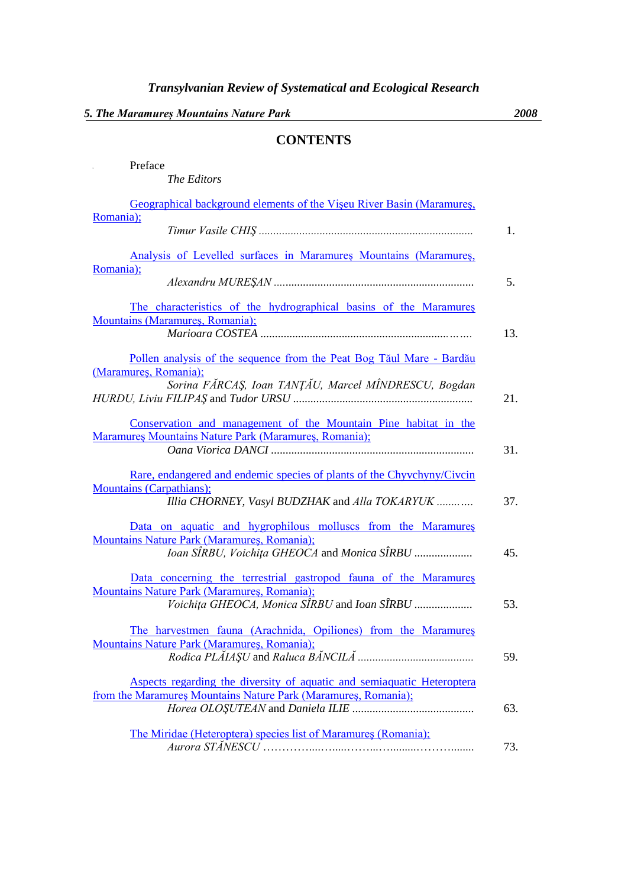## **CONTENTS**

| Preface                                                                                                                  |     |
|--------------------------------------------------------------------------------------------------------------------------|-----|
| The Editors                                                                                                              |     |
| Geographical background elements of the Viseu River Basin (Maramures,                                                    |     |
| Romania);                                                                                                                | 1.  |
| Analysis of Levelled surfaces in Maramures Mountains (Maramures,                                                         |     |
| Romania);                                                                                                                | 5.  |
| The characteristics of the hydrographical basins of the Maramures<br>Mountains (Maramures, Romania);                     |     |
|                                                                                                                          | 13. |
| Pollen analysis of the sequence from the Peat Bog Tăul Mare - Bardău<br>(Maramures, Romania);                            |     |
| Sorina FĂRCAȘ, Ioan TANȚĂU, Marcel MÎNDRESCU, Bogdan                                                                     | 21. |
| Conservation and management of the Mountain Pine habitat in the<br>Maramures Mountains Nature Park (Maramures, Romania); |     |
|                                                                                                                          | 31. |
| Rare, endangered and endemic species of plants of the Chyvchyny/Civcin                                                   |     |
| <b>Mountains (Carpathians);</b><br>Illia CHORNEY, Vasyl BUDZHAK and Alla TOKARYUK                                        | 37. |
| Data on aquatic and hygrophilous molluscs from the Maramures                                                             |     |
| Mountains Nature Park (Maramures, Romania);<br>Ioan SIRBU, Voichița GHEOCA and Monica SIRBU                              | 45. |
| Data concerning the terrestrial gastropod fauna of the Maramures                                                         |     |
| Mountains Nature Park (Maramures, Romania);<br>Voichita GHEOCA, Monica SÎRBU and Ioan SÎRBU                              | 53. |
| The harvestmen fauna (Arachnida, Opiliones) from the Maramures                                                           |     |
| <b>Mountains Nature Park (Maramures, Romania);</b>                                                                       | 59. |
| Aspects regarding the diversity of aquatic and semiaquatic Heteroptera                                                   |     |
| from the Maramures Mountains Nature Park (Maramures, Romania);                                                           | 63. |
| The Miridae (Heteroptera) species list of Maramures (Romania);                                                           |     |
|                                                                                                                          | 73. |